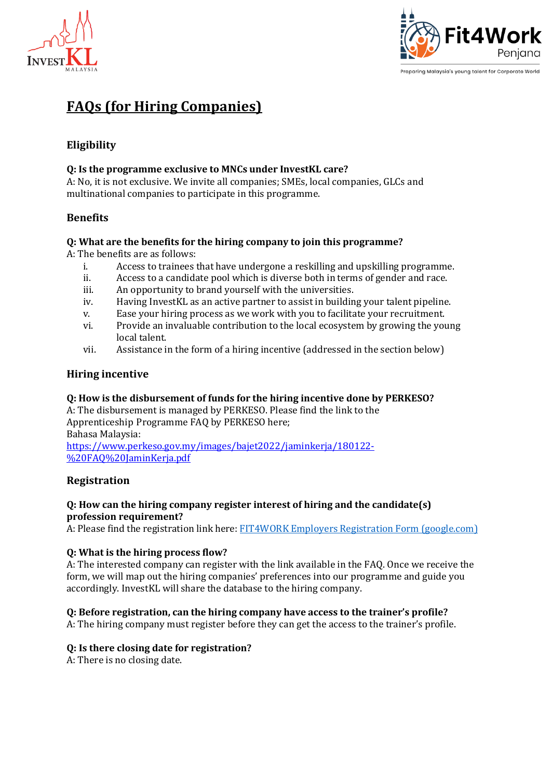



# **FAQs (for Hiring Companies)**

# **Eligibility**

### **Q: Is the programme exclusive to MNCs under InvestKL care?**

A: No, it is not exclusive. We invite all companies; SMEs, local companies, GLCs and multinational companies to participate in this programme.

# **Benefits**

#### **Q: What are the benefits for the hiring company to join this programme?**

A: The benefits are as follows:

- i. Access to trainees that have undergone a reskilling and upskilling programme.
- ii. Access to a candidate pool which is diverse both in terms of gender and race.
- iii. An opportunity to brand yourself with the universities.
- iv. Having InvestKL as an active partner to assist in building your talent pipeline.
- v. Ease your hiring process as we work with you to facilitate your recruitment.
- vi. Provide an invaluable contribution to the local ecosystem by growing the young local talent.
- vii. Assistance in the form of a hiring incentive (addressed in the section below)

# **Hiring incentive**

#### **Q: How is the disbursement of funds for the hiring incentive done by PERKESO?**

A: The disbursement is managed by PERKESO. Please find the link to the Apprenticeship Programme FAQ by PERKESO here; Bahasa Malaysia: [https://www.perkeso.gov.my/images/bajet2022/jaminkerja/180122-](https://www.perkeso.gov.my/images/bajet2022/jaminkerja/180122-%20FAQ%20JaminKerja.pdf)

[%20FAQ%20JaminKerja.pdf](https://www.perkeso.gov.my/images/bajet2022/jaminkerja/180122-%20FAQ%20JaminKerja.pdf)

#### **Registration**

#### **Q: How can the hiring company register interest of hiring and the candidate(s) profession requirement?**

A: Please find the registration link here: FIT4WORK Employers Registration Form [\(google.com\)](https://docs.google.com/forms/d/e/1FAIpQLSfzD_MfA9ZbgtvjRwvUvcUEY5JmpJsbGFCikEn_602SKmc4MQ/viewform)

#### **Q: What is the hiring process flow?**

A: The interested company can register with the link available in the FAQ. Once we receive the form, we will map out the hiring companies' preferences into our programme and guide you accordingly. InvestKL will share the database to the hiring company.

#### **Q: Before registration, can the hiring company have access to the trainer's profile?**

A: The hiring company must register before they can get the access to the trainer's profile.

#### **Q: Is there closing date for registration?**

A: There is no closing date.